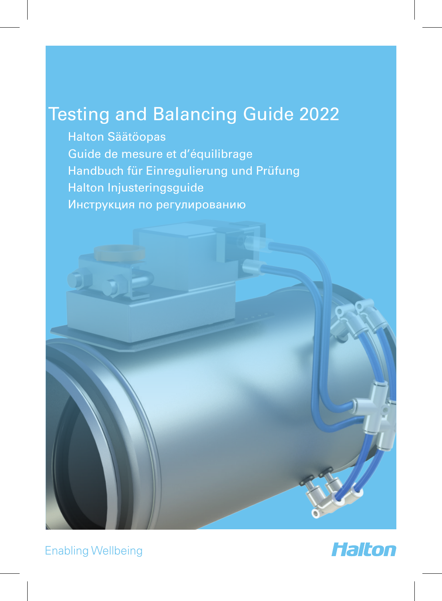# Testing and Balancing Guide 2022

Halton Säätöopas Guide de mesure et d'équilibrage Handbuch für Einregulierung und Prüfung Halton Injusteringsguide Инструкция по регулированию



Enabling Wellbeing

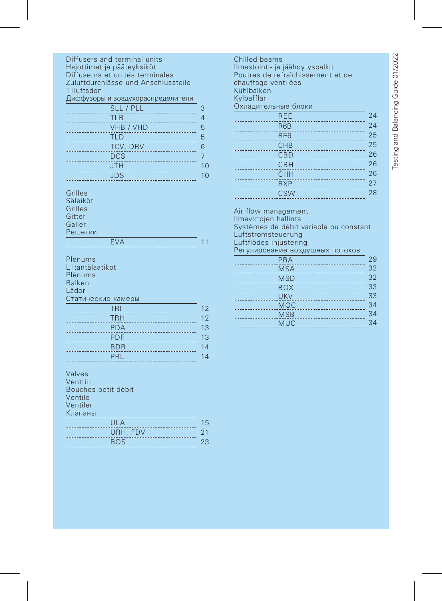| Diffusers and terminal units<br>Hajottimet ja pääteyksiköt<br>Diffuseurs et unités terminales<br>Zuluftdurchlässe und Anschlussteile<br>Tilluftsdon<br>Диффузоры и воздухораспределители<br>SLL / PLL<br><b>TLB</b><br><b>VHB / VHD</b><br><b>TLD</b><br>TCV, DRV<br>DCS | З<br>4<br>5<br>5<br>6<br>$\overline{7}$ |
|--------------------------------------------------------------------------------------------------------------------------------------------------------------------------------------------------------------------------------------------------------------------------|-----------------------------------------|
| <b>JTH</b>                                                                                                                                                                                                                                                               | 10                                      |
| <br><u>JDS</u>                                                                                                                                                                                                                                                           | 10                                      |
|                                                                                                                                                                                                                                                                          |                                         |
| Grilles<br>Säleiköt<br>Grilles<br>Gitter<br>Galler<br>Решетки                                                                                                                                                                                                            |                                         |
|                                                                                                                                                                                                                                                                          |                                         |
| <b>EVA</b>                                                                                                                                                                                                                                                               | 11                                      |
| Plenums<br>Liitäntälaatikot<br>Plénums<br>Balken<br>l ådor                                                                                                                                                                                                               |                                         |
|                                                                                                                                                                                                                                                                          |                                         |
| Статические камеры                                                                                                                                                                                                                                                       |                                         |
| TRI I<br><b>Contract Contract Contract Contract Contract Contract Contract Contract Contract Contract Contract Contract Co</b>                                                                                                                                           | 12                                      |
| TRH                                                                                                                                                                                                                                                                      | 12                                      |
|                                                                                                                                                                                                                                                                          |                                         |
| <b>PDA</b>                                                                                                                                                                                                                                                               | 13                                      |
| <b>PDF</b>                                                                                                                                                                                                                                                               | 13                                      |
| <b>BDR</b>                                                                                                                                                                                                                                                               | 14                                      |
| PRL                                                                                                                                                                                                                                                                      | 14                                      |
| <b>Service Service</b>                                                                                                                                                                                                                                                   |                                         |
| Valves                                                                                                                                                                                                                                                                   |                                         |
|                                                                                                                                                                                                                                                                          |                                         |
| Venttiilit                                                                                                                                                                                                                                                               |                                         |
| Bouches petit débit<br>Ventile                                                                                                                                                                                                                                           |                                         |
| Ventiler                                                                                                                                                                                                                                                                 |                                         |
|                                                                                                                                                                                                                                                                          |                                         |
| Клапаны                                                                                                                                                                                                                                                                  |                                         |
| UIA                                                                                                                                                                                                                                                                      | 15                                      |
| URH, FDV<br>.                                                                                                                                                                                                                                                            | 21                                      |
| <b>BOS</b>                                                                                                                                                                                                                                                               | 23                                      |

Chilled beams Ilmastointi- ja jäähdytyspalkit Poutres de refraîchissement et de chauffage ventilées enaarrage<br>Kühlbalken Kylbafflar Охладительные блоки  $REE$  24 R6B 24

| ,,,,,,          | -- |
|-----------------|----|
| RE <sub>6</sub> | 25 |
| CHB             | 25 |
| CBD             | 26 |
| <b>CBH</b>      | 26 |
| CHH             | 26 |
| <b>RXP</b>      | 27 |
| <b>CSW</b>      | 28 |
|                 |    |

Air flow management Ilmavirtojen hallinta Systèmes de débit variable ou constant Luftstromsteuerung Luftflödes injustering Регулирование воздушных потоков

| PRA        | 29 |
|------------|----|
| <b>MSA</b> | 32 |
| <b>MSD</b> | 32 |
| <b>BOX</b> | 33 |
| <b>UKV</b> | 33 |
| <b>MOC</b> | 34 |
| <b>MSB</b> | 34 |
| <b>MUC</b> | 34 |
|            |    |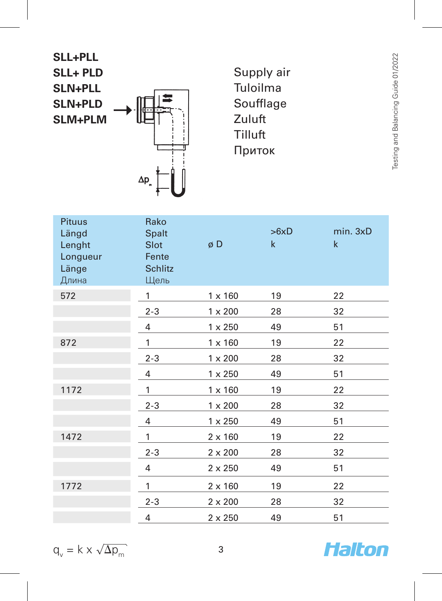**SLL+PLL SLL+ PLD SLN+PLL SLN+PLD SLM+PLM**  $\Delta p$ 

Supply air Tuloilma Soufflage Zuluft Tilluft Приток

| <b>Pituus</b><br>Längd<br>Lenght<br>Longueur<br>Länge<br>Длина | Rako<br><b>Spalt</b><br>Slot<br>Fente<br><b>Schlitz</b><br>Щель | øD             | >6xD<br>$\mathsf{k}$ | min. 3xD<br>$\mathsf{k}$ |
|----------------------------------------------------------------|-----------------------------------------------------------------|----------------|----------------------|--------------------------|
| 572                                                            | 1                                                               | $1 \times 160$ | 19                   | 22                       |
|                                                                | $2 - 3$                                                         | $1 \times 200$ | 28                   | 32                       |
|                                                                | 4                                                               | $1 \times 250$ | 49                   | 51                       |
| 872                                                            | 1                                                               | $1 \times 160$ | 19                   | 22                       |
|                                                                | $2 - 3$                                                         | $1 \times 200$ | 28                   | 32                       |
|                                                                | 4                                                               | $1 \times 250$ | 49                   | 51                       |
| 1172                                                           | 1                                                               | $1 \times 160$ | 19                   | 22                       |
|                                                                | $2 - 3$                                                         | $1 \times 200$ | 28                   | 32                       |
|                                                                | 4                                                               | $1 \times 250$ | 49                   | 51                       |
| 1472                                                           | 1                                                               | $2 \times 160$ | 19                   | 22                       |
|                                                                | $2 - 3$                                                         | $2 \times 200$ | 28                   | 32                       |
|                                                                | $\overline{4}$                                                  | $2 \times 250$ | 49                   | 51                       |
| 1772                                                           | 1                                                               | $2 \times 160$ | 19                   | 22                       |
|                                                                | $2 - 3$                                                         | $2 \times 200$ | 28                   | 32                       |
|                                                                | 4                                                               | $2 \times 250$ | 49                   | 51                       |
|                                                                |                                                                 |                |                      |                          |

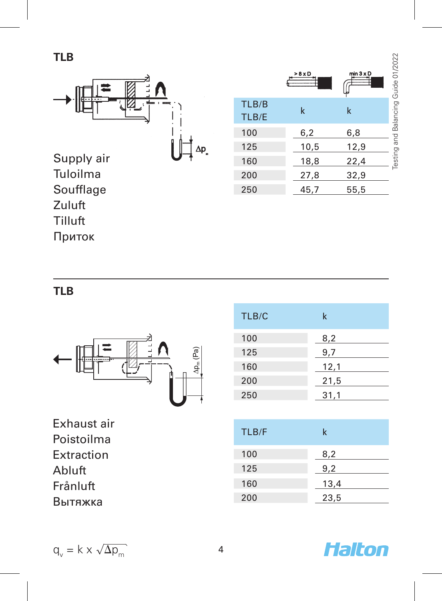

|       | > 8 × D | $min 3 \times D$ | Testing and Balancing Guide 01/2022 |
|-------|---------|------------------|-------------------------------------|
| TLB/B | k       | k                |                                     |
| TLB/E |         |                  |                                     |
| 100   | 6,2     | 6,8              |                                     |
| 125   | 10,5    | 12,9             |                                     |
| 160   | 18,8    | 22,4             |                                     |
| 200   | 27,8    | 32,9             |                                     |
| 250   | 45,7    | 55,5             |                                     |

**TLB**

Soufflage Zuluft Tilluft Приток



Exhaust air Poistoilma Extraction Abluft Frånluft Вытяжка

| TLB/C | k    |
|-------|------|
| 100   | 8,2  |
| 125   | 9,7  |
| 160   | 12,1 |
| 200   | 21,5 |
| 250   | 31,1 |
|       |      |

| TLB/F | k    |
|-------|------|
| 100   | 8,2  |
| 125   | 9,2  |
| 160   | 13,4 |
| 200   | 23,5 |

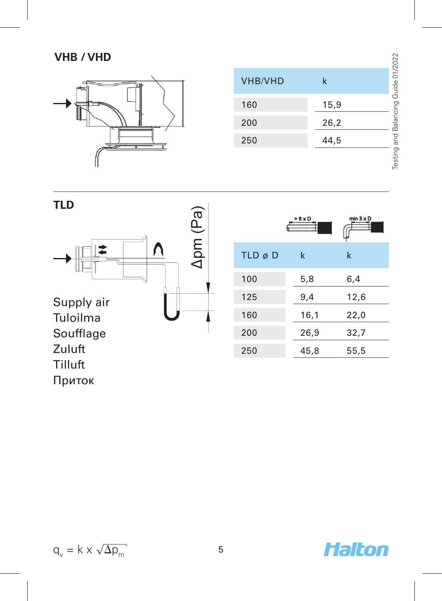# **VHB / VHD**



| <b>VHB/VHD</b> | k    | Balancing Guide 01/20 |
|----------------|------|-----------------------|
| 160            | 15,9 |                       |
| 200            | 26,2 |                       |
| 250            | 44,5 | no and                |
|                |      |                       |



$$
q_v = k \times \sqrt{\Delta p_m}
$$

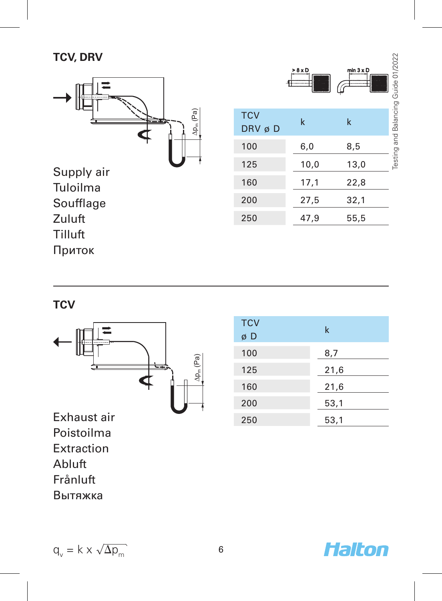# **TCV, DRV**



|                      | > 8 x D<br>-F | min $3 \times D$ | Testing and Balancing Guide 01/2022 |
|----------------------|---------------|------------------|-------------------------------------|
| <b>TCV</b><br>DRV øD | k             | k                |                                     |
| 100                  | 6,0           | 8,5              |                                     |
| 125                  | 10,0          | 13,0             |                                     |
| 160                  | 17,1          | 22,8             |                                     |
| 200                  | 27,5          | 32,1             |                                     |
| 250                  | 47,9          | 55,5             |                                     |

Приток

**TCV**



Exhaust air Poistoilma Extraction Abluft Frånluft Вытяжка

| <b>TCV</b><br>øD | k    |
|------------------|------|
| 100              | 8,7  |
| 125              | 21,6 |
| 160              | 21,6 |
| 200              | 53,1 |
| 250              | 53,1 |



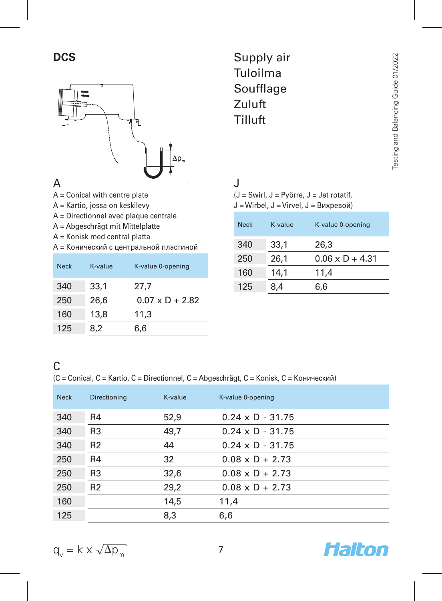

**DCS** Supply air Tuloilma Soufflage Zuluft Tilluft

#### A

- A = Conical with centre plate
- A = Kartio, jossa on keskilevy
- A = Directionnel avec plaque centrale
- A = Abgeschrägt mit Mittelplatte
- A = Konisk med central platta
- A = Конический с центральной пластиной

| <b>Neck</b> | K-value | K-value 0-opening      |
|-------------|---------|------------------------|
| 340         | 33,1    | 27,7                   |
| 250         | 26.6    | $0.07 \times D + 2.82$ |
| 160         | 13.8    | 11.3                   |
| 125         | 8.2     | 6.6                    |

J

(J = Swirl, J = Pyörre, J = Jet rotatif, J = Wirbel, J = Virvel, J = Вихревой)

| <b>Neck</b> | K-value | K-value 0-opening      |
|-------------|---------|------------------------|
| 340         | 33.1    | 26,3                   |
| 250         | 26.1    | $0.06 \times D + 4.31$ |
| 160         | 14.1    | 11,4                   |
| 125         | 8,4     | 6.6                    |

#### C (C = Conical, C = Kartio, C = Directionnel, C = Abgeschrägt, C = Konisk, C = Конический)

| <b>Neck</b> | Directioning   | K-value | K-value 0-opening       |
|-------------|----------------|---------|-------------------------|
| 340         | R4             | 52,9    | $0.24 \times D - 31.75$ |
| 340         | R <sub>3</sub> | 49,7    | $0.24 \times D - 31.75$ |
| 340         | R <sub>2</sub> | 44      | $0.24 \times D - 31.75$ |
| 250         | R <sub>4</sub> | 32      | $0.08 \times D + 2.73$  |
| 250         | R <sub>3</sub> | 32,6    | $0.08 \times D + 2.73$  |
| 250         | R <sub>2</sub> | 29,2    | $0.08 \times D + 2.73$  |
| 160         |                | 14.5    | 11,4                    |
| 125         |                | 8.3     | 6,6                     |



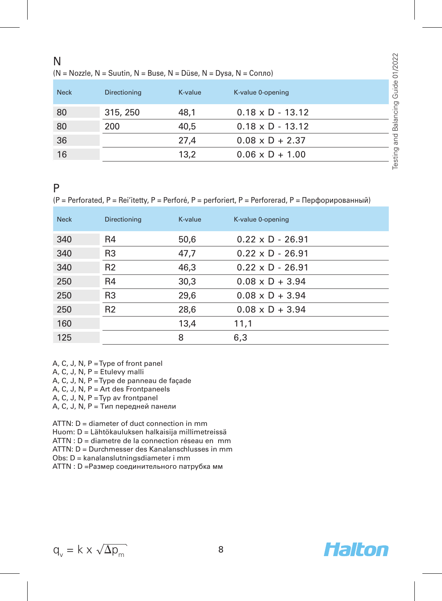#### N

 $(N = Nozzle, N = Suutin, N = Buse, N = Düse, N = Dvsa, N = Conno)$ 

| <b>Neck</b> | Directioning | K-value | K-value 0-opening       |  |
|-------------|--------------|---------|-------------------------|--|
| 80          | 315, 250     | 48.1    | $0.18 \times D - 13.12$ |  |
| 80          | 200          | 40.5    | $0.18 \times D - 13.12$ |  |
| 36          |              | 27.4    | $0.08 \times D + 2.37$  |  |
| 16          |              | 13.2    | $0.06 \times D + 1.00$  |  |

#### P

(P = Perforated, P = Rei'itetty, P = Perforé, P = perforiert, P = Perforerad, P = Перфорированный)

| <b>Neck</b> | Directioning   | K-value | K-value 0-opening       |
|-------------|----------------|---------|-------------------------|
| 340         | R4             | 50,6    | $0.22 \times D - 26.91$ |
| 340         | R <sub>3</sub> | 47,7    | $0.22 \times D - 26.91$ |
| 340         | R <sub>2</sub> | 46,3    | $0.22 \times D - 26.91$ |
| 250         | R4             | 30,3    | $0.08 \times D + 3.94$  |
| 250         | R <sub>3</sub> | 29,6    | $0.08 \times D + 3.94$  |
| 250         | R <sub>2</sub> | 28,6    | $0.08 \times D + 3.94$  |
| 160         |                | 13,4    | 11,1                    |
| 125         |                | 8       | 6,3                     |

A, C, J, N, P = Type of front panel

 $A, C, J, N, P =$  Etulevy malli

A, C, J, N, P = Type de panneau de façade

A, C, J, N, P = Art des Frontpaneels

A, C, J, N, P = Typ av frontpanel

A, C, J, N, P = Тип передней панели

ATTN: D = diameter of duct connection in mm Huom: D = Lähtökauluksen halkaisija millimetreissä ATTN : D = diametre de la connection réseau en mm ATTN: D = Durchmesser des Kanalanschlusses in mm Obs: D = kanalanslutningsdiameter i mm

ATTN : D =Размер соединительного патрубка мм

$$
q_v = k \times \sqrt{\Delta p_m}
$$
 8

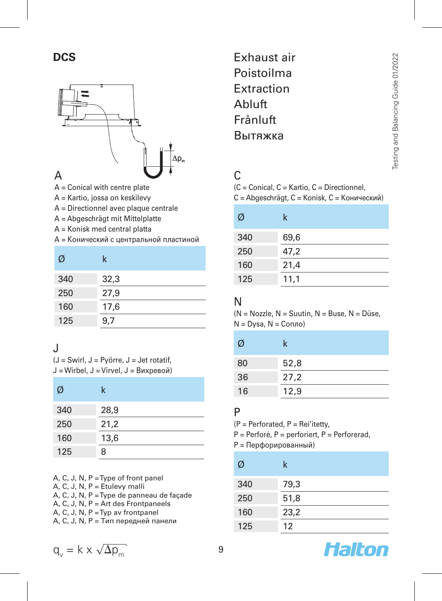# **DCS**



A = Conical with centre plate

- A = Kartio, jossa on keskilevy
- A = Directionnel avec plaque centrale
- A = Abgeschrägt mit Mittelplatte
- A = Konisk med central platta
- A = Конический с центральной пластиной

| Ø   | k    |
|-----|------|
| 340 | 32,3 |
| 250 | 27,9 |
| 160 | 17,6 |
| 125 | 9,7  |

# J

 $(J =$  Swirl,  $J =$  Pvörre,  $J =$  Jet rotatif, J = Wirbel, J = Virvel, J = Вихревой)

| Ø   | k    |
|-----|------|
| 340 | 28,9 |
| 250 | 21,2 |
| 160 | 13,6 |
| 125 | 8    |

A, C, J, N, P = Type of front panel A, C, J, N, P = Etulevy malli A, C, J, N, P = Type de panneau de façade A, C, J, N, P = Art des Frontpaneels A, C, J, N, P = Typ av frontpanel A, C, J, N, P = Тип передней панели

Exhaust air Poistoilma Extraction Abluft Frånluft Вытяжка

#### $\Gamma$

(C = Conical, C = Kartio, C = Directionnel, C = Abgeschrägt, C = Konisk, C = Конический)

| Ø   | k    |
|-----|------|
| 340 | 69,6 |
| 250 | 47,2 |
| 160 | 21,4 |
| 125 | 11,1 |

#### N

 $(N = Nozzle, N = Suutin, N = Buse, N = Diise)$ .  $N = Dysa, N = Conno$ )

| Ø  | k    |
|----|------|
| 80 | 52,8 |
| 36 | 27,2 |
| 16 | 12,9 |

#### P

(P = Perforated, P = Rei'itetty,

- P = Perforé, P = perforiert, P = Perforerad,
- P = Перфорированный)

| Ø   | k    |
|-----|------|
| 340 | 79,3 |
| 250 | 51,8 |
| 160 | 23,2 |
| 125 | 12   |



$$
q_v = k \times \sqrt{\Delta p_m}
$$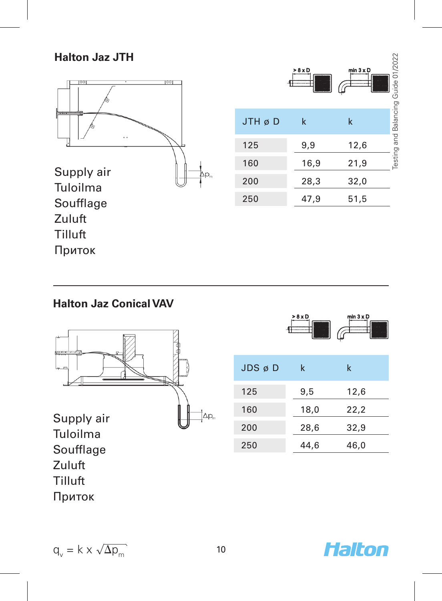#### **Halton Jaz JTH**



### **Halton Jaz Conical VAV**



|                       |      | ω    |
|-----------------------|------|------|
| $JDS$ $\emptyset$ $D$ | k    | k    |
| 125                   | 9,5  | 12,6 |
| 160                   | 18,0 | 22,2 |
| 200                   | 28,6 | 32,9 |
| 250                   | 44,6 | 46,0 |

 $> 8 \times C$ 

 $q_v = k \times \sqrt{\Delta p_m}$  10

Приток



min  $3 \times D$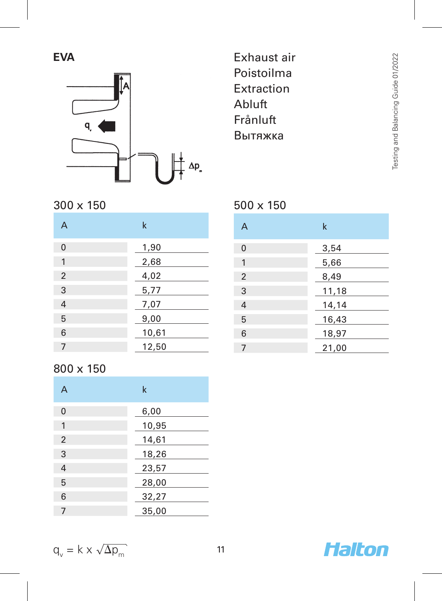**EVA**



# Exhaust air Poistoilma Extraction Abluft Frånluft Вытяжка

500 x 150

| 300 x 150 |  |
|-----------|--|
|           |  |

| A        | k     |
|----------|-------|
| $\Omega$ | 1,90  |
| 1        | 2,68  |
| 2        | 4,02  |
| 3        | 5,77  |
| 4        | 7,07  |
| 5        | 9,00  |
| 6        | 10,61 |
| 7        | 12,50 |

### 800 x 150

| A              | k     |
|----------------|-------|
| $\Omega$       | 6,00  |
| 1              | 10,95 |
| 2              | 14,61 |
| 3              | 18,26 |
| $\overline{4}$ | 23,57 |
| 5              | 28,00 |
| 6              | 32,27 |
| 7              | 35,00 |

| А | k     |
|---|-------|
| 0 | 3,54  |
| 1 | 5,66  |
| 2 | 8,49  |
| 3 | 11,18 |
| 4 | 14,14 |
| 5 | 16,43 |
| 6 | 18,97 |
|   | 21,00 |

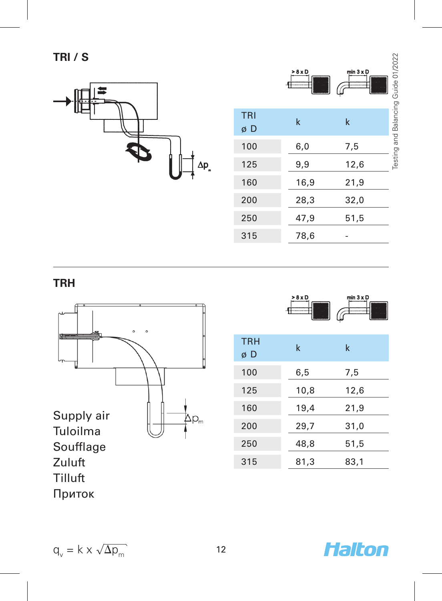

|                  | > 8 x D<br> | min $3 \times D$ | Testing and Balancing Guide 01/2022 |
|------------------|-------------|------------------|-------------------------------------|
| <b>TRI</b><br>øD | $\mathsf k$ | k                |                                     |
| 100              | 6,0         | 7,5              |                                     |
| 125              | 9,9         | 12,6             |                                     |
| 160              | 16,9        | 21,9             |                                     |
| 200              | 28,3        | 32,0             |                                     |
| 250              | 47,9        | 51,5             |                                     |
| 315              | 78,6        |                  |                                     |

# **TRH**



| > 8 x D | min $3 \times D$ |
|---------|------------------|
| 44      |                  |
|         |                  |

| .<br>øD | k    | k    |
|---------|------|------|
| 100     | 6,5  | 7,5  |
| 125     | 10,8 | 12,6 |
| 160     | 19,4 | 21,9 |
| 200     | 29,7 | 31,0 |
| 250     | 48,8 | 51,5 |
| 315     | 81,3 | 83,1 |

TRH

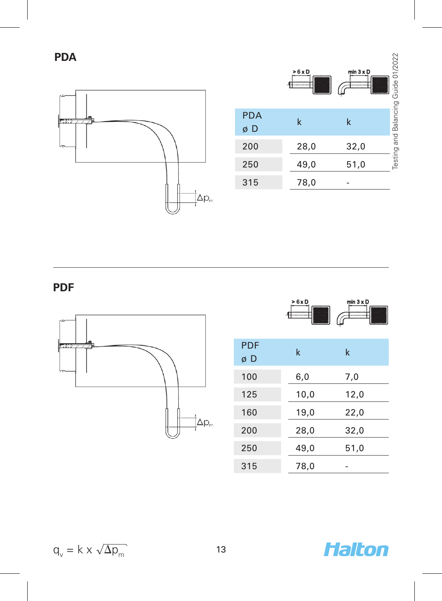**PDA**



|                  | >6xD | min $3 \times D$ | Testing and Balancing Guide 01/2022 |
|------------------|------|------------------|-------------------------------------|
| <b>PDA</b><br>øD | k    | k                |                                     |
| 200              | 28,0 | 32,0             |                                     |
| 250              | 49,0 | 51,0             |                                     |
| 315              | 78,0 |                  |                                     |

**PDF**



|                  | > 6 x D<br> | min $3 \times D$ |
|------------------|-------------|------------------|
| <b>PDF</b><br>øD | k           | k                |
| 100              | 6,0         | 7,0              |
| 125              | 10,0        | 12,0             |
| 160              | 19,0        | 22,0             |
| 200              | 28,0        | 32,0             |
| 250              | 49,0        | 51,0             |
| 315              | 78,0        |                  |

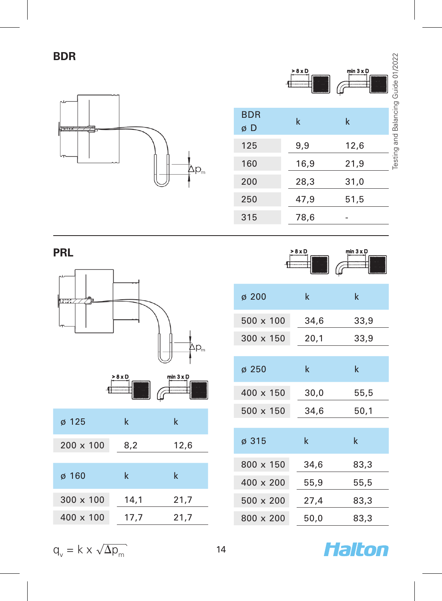**BDR**



|                  | > 8 x D | min $3 \times D$<br>Ó |
|------------------|---------|-----------------------|
| <b>BDR</b><br>øD | k       | k<br>i                |
| 125              | 9,9     | 12,6                  |
| 160              | 16,9    | 21,9<br>ł             |
| 200              | 28,3    | 31,0                  |
| 250              | 47,9    | 51,5                  |
| 315              | 78,6    |                       |

**PRL**





| $\sigma$ 200     | k    | k           |
|------------------|------|-------------|
| 500 x 100        | 34,6 | 33,9        |
| $300 \times 150$ | 20,1 | 33,9        |
|                  |      |             |
| $\sigma$ 250     | k    | $\mathsf k$ |
| 400 x 150        | 30,0 | 55,5        |
| 500 x 150        | 34,6 | 50,1        |
|                  |      |             |
| ø 315            | k    | $\mathsf k$ |
| 800 x 150        | 34.6 | 83,3        |
| 400 x 200        | 55,9 | 55,5        |
| $500 \times 200$ | 27,4 | 83,3        |
| 800 x 200        | 50,0 | 83,3        |

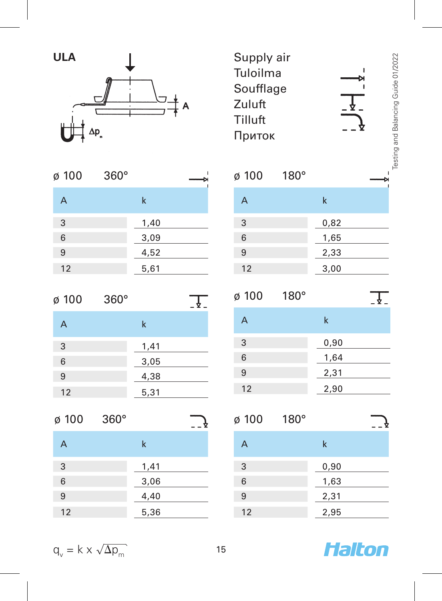

| ø 100 | $360^\circ$ |      |  |
|-------|-------------|------|--|
| A     |             | k    |  |
| 3     |             | 1,40 |  |
| 6     |             | 3,09 |  |
| 9     |             | 4,52 |  |
| 12    |             | 5,61 |  |

| ø 100 | $360^\circ$ |      |  |
|-------|-------------|------|--|
| A     |             | k    |  |
| 3     |             | 1,41 |  |
| 6     |             | 3,05 |  |
| 9     |             | 4,38 |  |
| 12    |             | 5,31 |  |

| ø 100 | $360^\circ$ |      |  |
|-------|-------------|------|--|
| A     |             | k    |  |
| 3     |             | 1,41 |  |
| 6     |             | 3,06 |  |
| 9     |             | 4,40 |  |
| 12    |             | 5,36 |  |

Supply air Tuloilma Soufflage Zuluft Tilluft Приток

| ø 100 | $180^\circ$ |      |  |
|-------|-------------|------|--|
| A     |             | k    |  |
| 3     |             | 0,82 |  |
| 6     |             | 1,65 |  |
| 9     |             | 2,33 |  |
| 12    |             | 3,00 |  |

| ø 100 | $180^\circ$ |      |  |
|-------|-------------|------|--|
| A     |             | k    |  |
| 3     |             | 0,90 |  |
| 6     |             | 1,64 |  |
| 9     |             | 2,31 |  |
| 12    |             | 2,90 |  |

| ø 100 | $180^\circ$ |      |  |
|-------|-------------|------|--|
| A     |             | k    |  |
| 3     |             | 0,90 |  |
| 6     |             | 1,63 |  |
| 9     |             | 2,31 |  |
| 12    |             | 2,95 |  |



ï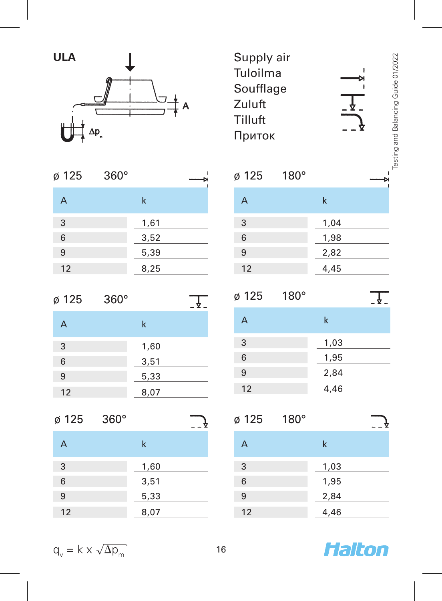

| ø 125 | $360^\circ$ |      |  |
|-------|-------------|------|--|
| A     |             | k    |  |
| 3     |             | 1,61 |  |
| 6     |             | 3,52 |  |
| 9     |             | 5,39 |  |
| 12    |             | 8,25 |  |

| ø 125 | $360^\circ$ |      |  |
|-------|-------------|------|--|
| A     |             | k    |  |
| 3     |             | 1,60 |  |
| 6     |             | 3,51 |  |
| 9     |             | 5,33 |  |
| 12    |             | 8,07 |  |

| ø 125 | $360^\circ$ |      |  |
|-------|-------------|------|--|
| A     |             | k    |  |
| 3     |             | 1,60 |  |
| 6     |             | 3,51 |  |
| 9     |             | 5,33 |  |
| 12    |             | 8,07 |  |

| Supply air |  |
|------------|--|
| Tuloilma   |  |
| Soufflage  |  |
| Zuluft     |  |
| Tilluft    |  |
| Приток     |  |

|   | $\tilde{\zeta}$<br>č |
|---|----------------------|
|   |                      |
|   | Í                    |
|   | ì                    |
| ٠ |                      |

| ø 125 | $180^\circ$ |      |  |
|-------|-------------|------|--|
| А     |             | k    |  |
| 3     |             | 1,04 |  |
| 6     |             | 1,98 |  |
| 9     |             | 2,82 |  |
| 12    |             | 4,45 |  |

| ø 125 | $180^\circ$ |      |  |
|-------|-------------|------|--|
| A     |             | k    |  |
| 3     |             | 1,03 |  |
| 6     |             | 1,95 |  |
| 9     |             | 2,84 |  |
| 12    |             | 4,46 |  |

| ø 125 | $180^\circ$ |      |  |
|-------|-------------|------|--|
| A     |             | k    |  |
| 3     |             | 1,03 |  |
| 6     |             | 1,95 |  |
| 9     |             | 2,84 |  |
| 12    |             | 4,46 |  |



| $q_v = k \times \sqrt{\Delta p_m}$ |  |
|------------------------------------|--|
|------------------------------------|--|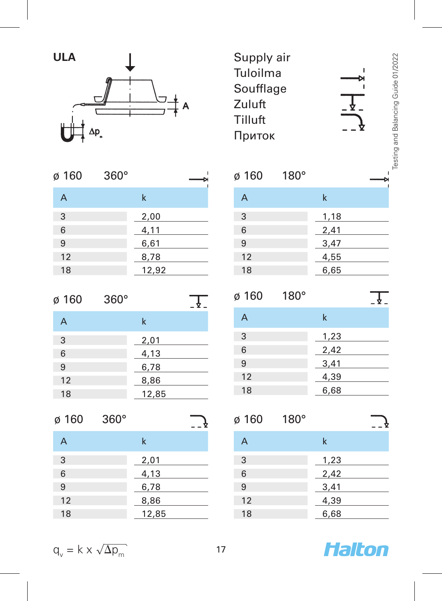

| ø 160 | $360^\circ$ |       |  |
|-------|-------------|-------|--|
| A     |             | k     |  |
| 3     |             | 2,00  |  |
| 6     |             | 4,11  |  |
| 9     |             | 6,61  |  |
| 12    |             | 8,78  |  |
| 18    |             | 12,92 |  |
|       |             |       |  |

| ø 160 | $360^\circ$ |       |  |
|-------|-------------|-------|--|
| A     |             | k     |  |
| 3     |             | 2,01  |  |
| 6     |             | 4,13  |  |
| 9     |             | 6,78  |  |
| 12    |             | 8,86  |  |
| 18    |             | 12,85 |  |

| ø 160 | $360^\circ$ |       |  |
|-------|-------------|-------|--|
| A     |             | k     |  |
| 3     |             | 2,01  |  |
| 6     |             | 4,13  |  |
| 9     |             | 6,78  |  |
| 12    |             | 8,86  |  |
| 18    |             | 12,85 |  |
|       |             |       |  |

Supply air Tuloilma Soufflage Zuluft Tilluft Приток

Testing and Balancing Guide 01/2022

Testing and Balancing Guide 01/2022

ï

| ø 160 | $180^\circ$ |      |  |
|-------|-------------|------|--|
| A     |             | k    |  |
| 3     |             | 1,18 |  |
| 6     |             | 2,41 |  |
| 9     |             | 3,47 |  |
| 12    |             | 4,55 |  |
| 18    |             | 6,65 |  |
|       |             |      |  |

| ø 160 | $180^\circ$ |      |  |
|-------|-------------|------|--|
| A     |             | k    |  |
| 3     |             | 1,23 |  |
| 6     |             | 2,42 |  |
| 9     |             | 3,41 |  |
| 12    |             | 4,39 |  |
| 18    |             | 6,68 |  |

| ø 160 | $180^\circ$ |      |  |
|-------|-------------|------|--|
| A     |             | k    |  |
| 3     |             | 1,23 |  |
| 6     |             | 2,42 |  |
| 9     |             | 3,41 |  |
| 12    |             | 4,39 |  |
| 18    |             | 6,68 |  |
|       |             |      |  |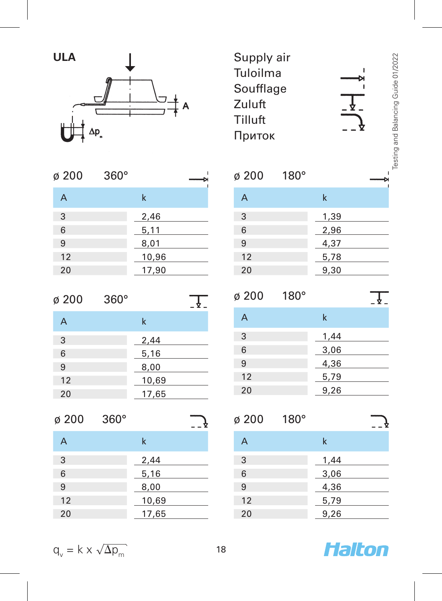

| $\varnothing$ 200 | $360^\circ$ |       |
|-------------------|-------------|-------|
| А                 |             | k     |
| 3                 |             | 2,46  |
| 6                 |             | 5,11  |
| 9                 |             | 8,01  |
| 12                |             | 10,96 |
| 20                |             | 17,90 |
|                   |             |       |

| ø 200 | $360^\circ$ |       |  |
|-------|-------------|-------|--|
| A     |             | k     |  |
| 3     |             | 2,44  |  |
| 6     |             | 5,16  |  |
| 9     |             | 8,00  |  |
| 12    |             | 10,69 |  |
| 20    |             | 17,65 |  |

| ø 200 | $360^\circ$ |       |  |
|-------|-------------|-------|--|
| A     |             | k     |  |
| 3     |             | 2,44  |  |
| 6     |             | 5,16  |  |
| 9     |             | 8,00  |  |
| 12    |             | 10,69 |  |
| 20    |             | 17,65 |  |
|       |             |       |  |

Supply air Tuloilma Soufflage Zuluft Tilluft Приток

| ø 200 | $180^\circ$ |      |  |
|-------|-------------|------|--|
| A     |             | k    |  |
| 3     |             | 1,39 |  |
| 6     |             | 2,96 |  |
| 9     |             | 4,37 |  |
| 12    |             | 5,78 |  |
| 20    |             | 9,30 |  |
|       |             |      |  |

ø 200 180°  $\frac{1}{2}$ A k 3 1,44 6 3,06 9 4,36 12 5,79 20 9,26

| ø 200 | $180^\circ$ |      |  |
|-------|-------------|------|--|
| A     |             | k    |  |
| 3     |             | 1,44 |  |
| 6     |             | 3,06 |  |
| 9     |             | 4,36 |  |
| 12    |             | 5,79 |  |
| 20    |             | 9,26 |  |
|       |             |      |  |

Testing and Balancing Guide 01/2022

Testing and Balancing Guide 01/2022

ï

$$
q_v = k \times \sqrt{\Delta p_m}
$$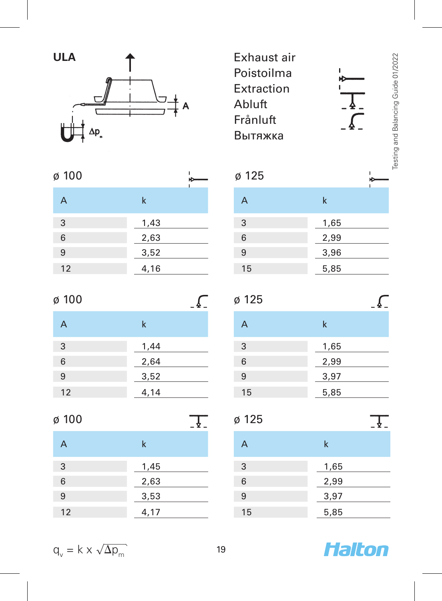

| ø 100 |      | ٠ | ø 125 |
|-------|------|---|-------|
| А     | k    |   | А     |
| 3     | 1,43 |   | 3     |
| 6     | 2,63 |   | 6     |
| 9     | 3,52 |   | 9     |
| 12    | 4,16 |   | 15    |
|       |      |   |       |

| ø 100 |      |
|-------|------|
| A     | k    |
| 3     | 1,44 |
| 6     | 2,64 |
| 9     | 3,52 |
| 12    | 4,14 |

| ø 100 |      | ø 125 |
|-------|------|-------|
| A     | k    | А     |
| 3     | 1,45 | 3     |
| 6     | 2,63 | 6     |
| 9     | 3,53 | 9     |
| 12    | 4,17 | 15    |

| Exhaust air |  |
|-------------|--|
| Poistoilma  |  |
| Extraction  |  |
| Abluft      |  |
| Frånluft    |  |
| Вытяжка     |  |
|             |  |

| ø 125 |      |
|-------|------|
| A     | k    |
| 3     | 1,65 |
| 6     | 2,99 |
| 9     | 3,96 |
| 15    | 5,85 |

| ø 125 |      |
|-------|------|
| А     | k    |
| 3     | 1,65 |
| 6     | 2,99 |
| 9     | 3,97 |
| 15    | 5,85 |

| ø 125 |      |
|-------|------|
| A     | k    |
| 3     | 1,65 |
| 6     | 2,99 |
| 9     | 3,97 |
| 15    | 5,85 |

Halton

$$
q_v = k \times \sqrt{\Delta p_m}
$$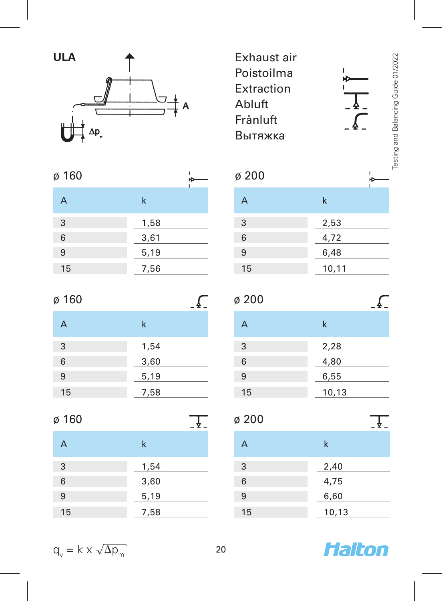

| ø 160 |      | ю<br>ı | ø 200 |
|-------|------|--------|-------|
| А     | k    |        | А     |
| 3     | 1,58 |        | 3     |
| 6     | 3,61 |        | 6     |
| 9     | 5,19 |        | 9     |
| 15    | 7,56 |        | 15    |
|       |      |        |       |

| ø 160 |             |
|-------|-------------|
| A     | $\mathsf k$ |
| 3     | 1,54        |
| 6     | 3,60        |
| 9     | 5,19        |
| 15    | 7,58        |

| ø 160 |             | ø 200 |
|-------|-------------|-------|
| A     | $\mathbf k$ | А     |
| 3     | 1,54        | 3     |
| 6     | 3,60        | 6     |
| 9     | 5,19        | 9     |
| 15    | 7,58        | 15    |

| Exhaust air |   |  |
|-------------|---|--|
| Poistoilma  |   |  |
| Extraction  |   |  |
| Abluft      |   |  |
| Frånluft    |   |  |
| Вытяжка     |   |  |
|             |   |  |
| ø 200       |   |  |
|             | k |  |

| $\overline{\phantom{a}}$ | N     |
|--------------------------|-------|
| 3                        | 2,53  |
| 6                        | 4,72  |
| 9                        | 6,48  |
| 15                       | 10,11 |

| $\varnothing$ 200 |       |
|-------------------|-------|
| A                 | k     |
| 3                 | 2,28  |
| 6                 | 4,80  |
| 9                 | 6,55  |
| 15                | 10,13 |

| ø 200 |       |
|-------|-------|
| A     | k     |
| 3     | 2,40  |
| 6     | 4,75  |
| 9     | 6,60  |
| 15    | 10,13 |

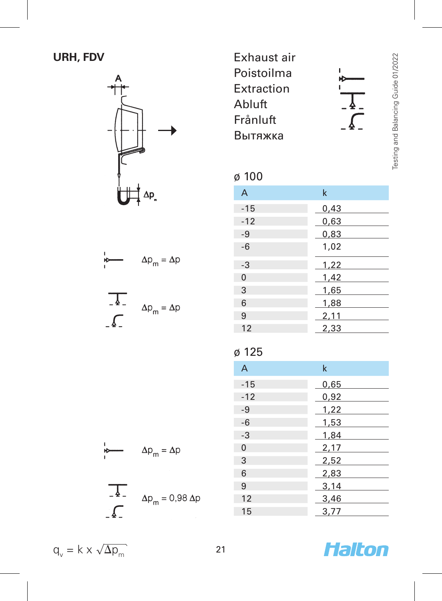# **URH, FDV**



| Exhaust air |  |
|-------------|--|
| Poistoilma  |  |
| Extraction  |  |
| Abluft      |  |
| Frånluft    |  |
| Вытяжка     |  |

#### ø 100

| ຸບ ເບບ         |      |
|----------------|------|
| $\overline{A}$ | k    |
| $-15$          | 0,43 |
| $-12$          | 0,63 |
| $-9$           | 0,83 |
| $-6$           | 1,02 |
| $-3$           | 1,22 |
| $\mathbf 0$    | 1,42 |
| 3              | 1,65 |
| 6              | 1,88 |
| 9              | 2,11 |
| 12             | 2,33 |

# ø 125

| $\overline{A}$ | k    |
|----------------|------|
| $-15$          | 0,65 |
| $-12$          | 0,92 |
| $-9$           | 1,22 |
| $-6$           | 1,53 |
| $-3$           | 1,84 |
| $\Omega$       | 2,17 |
| 3              | 2,52 |
| 6              | 2,83 |
| 9              | 3,14 |
| 12             | 3,46 |
| 15             | 3,77 |
|                |      |



Testing and Balancing Guide 01/2022 

 $\overline{a}$ 

 $\overline{A}$ .  $=$   $\Delta p$  $\sqrt{2}$ 

þ

 $\Delta p_m = \Delta p$ 

$$
\frac{1}{2} \Delta p_m =
$$

 $\Delta p_m = \Delta p$ ۱Þ.

$$
\Delta p_m = 0.98 \Delta p
$$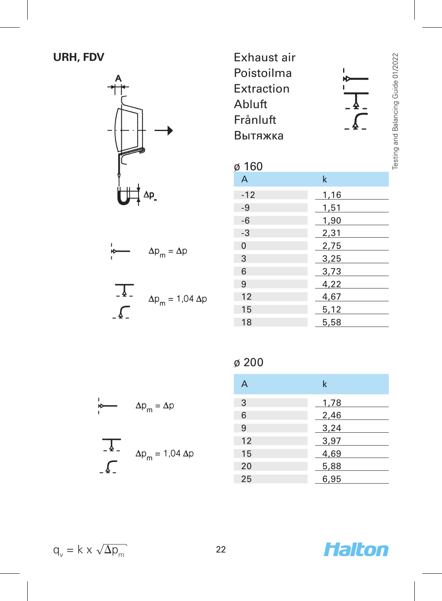# **URH, FDV**



$$
\Delta p_m = \Delta p
$$
\n
$$
\Delta p_m = 1.04 \Delta p
$$

Exhaust air Poistoilma Extraction Abluft Frånluft Вытяжка

### $\alpha$  160

| ט טע           |      |
|----------------|------|
| A              | k    |
| $-12$          | 1,16 |
| $-9$           | 1,51 |
| $-6$           | 1,90 |
| $-3$           | 2,31 |
| $\overline{0}$ | 2,75 |
| 3              | 3,25 |
| 6              | 3,73 |
| 9              | 4,22 |
| 12             | 4,67 |
| 15             | 5,12 |
| 18             | 5,58 |

# ø 200

| A  | k    |
|----|------|
| 3  | 1,78 |
| 6  | 2,46 |
| 9  | 3,24 |
| 12 | 3,97 |
| 15 | 4,69 |
| 20 | 5,88 |
| 25 | 6,95 |

$$
\Delta p_m = \Delta p
$$
\n
$$
\Delta p_m = 1.04 \Delta p
$$
\n
$$
\Delta p_m = 1.04 \Delta p
$$

$$
q_v = k \times \sqrt{\Delta p_m}
$$

 $\mathbf{I}$ .<br>Ю ï

 $\sqrt{2}$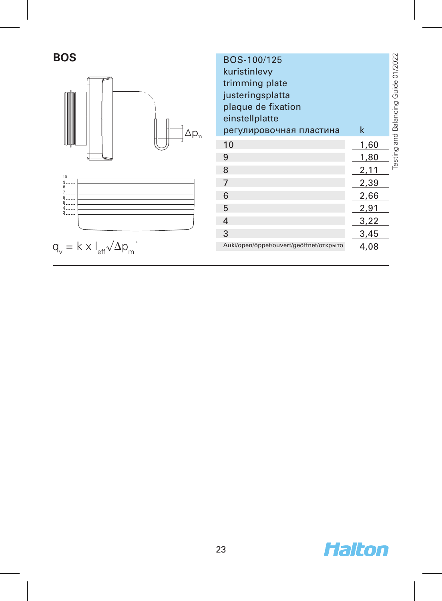



| BOS<br>$\Delta \mathsf{p}_{\scriptscriptstyle \sf m}$ | BOS-100/125<br>kuristinlevy<br>trimming plate<br>justeringsplatta<br>plaque de fixation<br>einstellplatte<br>регулировочная пластина | $\mathsf k$ | Guide 01/2022<br>Testing and Balancing |
|-------------------------------------------------------|--------------------------------------------------------------------------------------------------------------------------------------|-------------|----------------------------------------|
|                                                       | 10                                                                                                                                   | 1,60        |                                        |
|                                                       | 9                                                                                                                                    | 1,80        |                                        |
|                                                       | 8                                                                                                                                    | 2,11        |                                        |
| 10<br>9<br>8                                          | $\overline{7}$                                                                                                                       | 2,39        |                                        |
| 7.<br>6                                               | 6                                                                                                                                    | 2,66        |                                        |
| 5.<br>4<br>3                                          | 5                                                                                                                                    | 2,91        |                                        |
|                                                       | $\overline{4}$                                                                                                                       | 3,22        |                                        |
|                                                       | 3                                                                                                                                    | 3,45        |                                        |
| q.,<br>X                                              | Auki/open/öppet/ouvert/geöffnet/открыто                                                                                              | 4,08        |                                        |

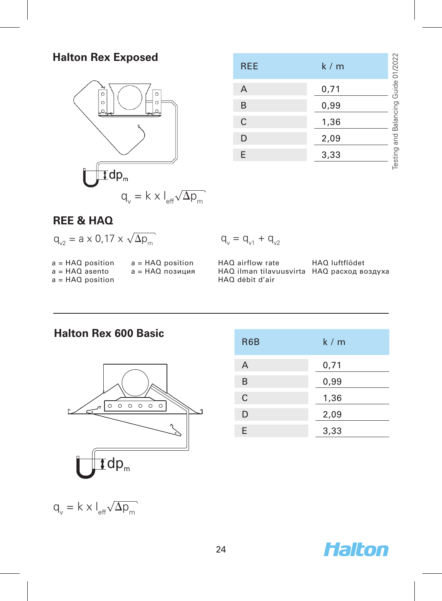#### **Halton Rex Exposed**



a = HAQ позиция

| <b>REE</b> | k/m  | Testing and Balancing Guide 01/2022 |
|------------|------|-------------------------------------|
| A          | 0,71 |                                     |
| B          | 0,99 |                                     |
| C          | 1,36 |                                     |
| D          | 2,09 |                                     |
| E          | 3,33 |                                     |
|            |      |                                     |

#### **REE & HAQ**

 $a = HAO$  asento a = HAQ position

| $q_{v2} = a \times 0.17 \times \sqrt{\Delta p_m}$ |                    |    |
|---------------------------------------------------|--------------------|----|
| a = HAQ position                                  | $a = HAO$ position | HA |

HAQ airflow rate HAQ ilman tilavuusvirta HAQ расход воздуха HAQ débit d'air

HAQ luftflödet

| $\circ$                     | 00000 |  |
|-----------------------------|-------|--|
| $\mathbf{Tdp}_{\mathrm{m}}$ |       |  |

R6B k / m A 0,71 B 0,99 C 1,36 D 2,09 E 3,33

 $q_v = k \times l_{\text{eff}} \sqrt{\Delta p_m}$ 



#### **Halton Rex 600 Basic**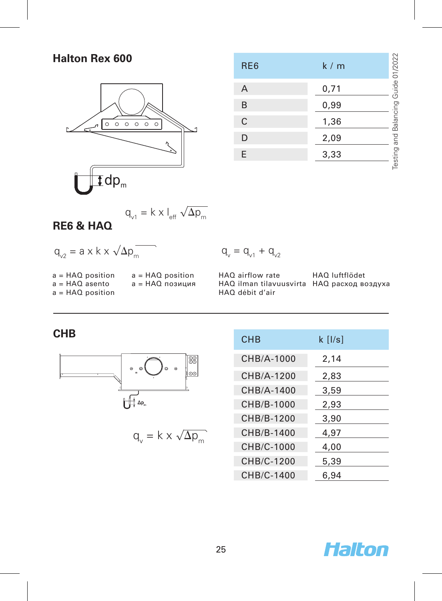#### **Halton Rex 600**



| RE <sub>6</sub> | k/m  | Guide 01/2022 |
|-----------------|------|---------------|
| Α               | 0,71 |               |
| B               | 0,99 |               |
| C               | 1,36 | Balancing     |
| D               | 2,09 |               |
| E               | 3,33 | Testing and   |
|                 |      |               |

$$
q_{v1} = k \times l_{eff} \sqrt{\Delta p_m}
$$

a = HAQ position a = HAQ позиция

#### **RE6 & HAQ**

a = HAQ position  $a = HAO$  asento a = HAQ position

$$
q_{v2} = a \times k \times \sqrt{\Delta p_m}
$$

$$
\boldsymbol{q}_{_{\boldsymbol{v}}}=\boldsymbol{q}_{_{\boldsymbol{v}1}}+\boldsymbol{q}_{_{\boldsymbol{v}2}}
$$

HAQ airflow rate HAQ ilman tilavuusvirta HAQ расход воздуха HAQ débit d'air HAQ luftflödet



$$
q_v = k \times \sqrt{\Delta p_m}
$$

| CHB                                                      | <b>CHB</b> | $k$ [ $I/s$ ] |
|----------------------------------------------------------|------------|---------------|
| 88                                                       | CHB/A-1000 | 2,14          |
| ø<br>$\circ$<br>$\alpha$<br>$\ddot{\phantom{a}}$<br>∣⊙⊙∣ | CHB/A-1200 | 2,83          |
|                                                          | CHB/A-1400 | 3,59          |
| $\Delta p_{m}$                                           | CHB/B-1000 | 2,93          |
|                                                          | CHB/B-1200 | 3,90          |
| $q_v = k \times \sqrt{\Delta p_m}$                       | CHB/B-1400 | 4,97          |
|                                                          | CHB/C-1000 | 4,00          |
|                                                          | CHB/C-1200 | 5,39          |
|                                                          | CHB/C-1400 | 6,94          |
|                                                          |            |               |

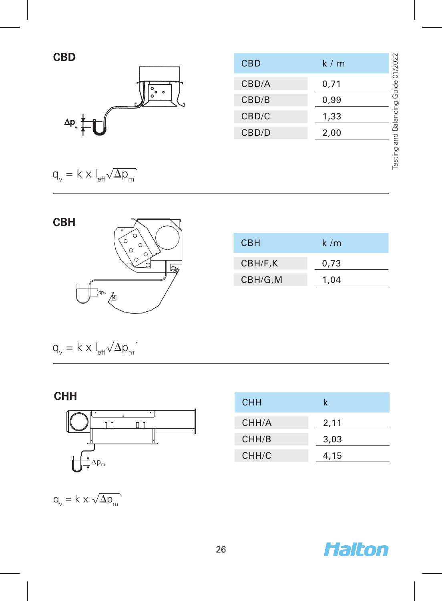

| CBD                  | <b>CBD</b> | 01/2022<br>k/m                  |
|----------------------|------------|---------------------------------|
|                      | CBD/A      | e<br>C<br>0,71                  |
| $\bullet$<br>$\circ$ | CBD/B      | ē<br>0,99<br>с                  |
| Δp                   | CBD/C      | 1,33                            |
|                      | CBD/D      | $\frac{1}{\alpha}$<br>2,00<br>ξ |
|                      |            | π                               |

 $q_v = k \times l_{\text{eff}} \sqrt{\Delta p_m}$ 



| <b>CBH</b> | k/m  |
|------------|------|
| CBH/F,K    | 0,73 |
| CBH/G,M    | 1.04 |

 $q_v = k \times l_{\text{eff}} \sqrt{\Delta p_m}$ 





| <b>CHH</b> | k    |
|------------|------|
| CHH/A      | 2,11 |
| CHH/B      | 3,03 |
| CHH/C      | 4,15 |

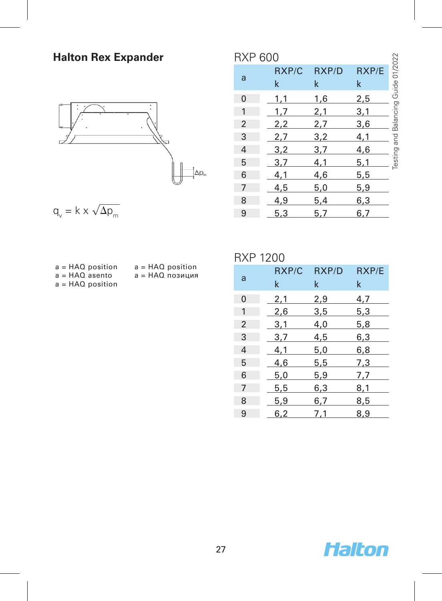# **Halton Rex Expander**



$$
q_v = k \times \sqrt{\Delta p_m}
$$

|  | $a = HAO$ position |
|--|--------------------|
|  | $a = HAO$ asento   |
|  | $a = HAO$ position |

- a = HAQ position
- a = HAQ позиция

 $\sim$  27

#### RXP 600

| <b>RXP 600</b> |       |       |                                     |
|----------------|-------|-------|-------------------------------------|
| RXP/C          | RXP/D | RXP/E | Testing and Balancing Guide 01/2022 |
| 1,1            | 1,6   | 2,5   |                                     |
| 1,7            | 2,1   | 3,1   |                                     |
| 2,2            | 2,7   | 3,6   |                                     |
| 2,7            | 3,2   | 4,1   |                                     |
| 3,2            | 3,7   | 4,6   |                                     |
| 3,7            | 4,1   | 5,1   |                                     |
| 4,1            | 4,6   | 5,5   |                                     |
| 4,5            | 5,0   | 5,9   |                                     |
| 4,9            | 5,4   | 6,3   |                                     |
| 5,3            | 5,7   | 6,7   |                                     |
|                | k     | k     | k                                   |

#### RXP 1200

| a              | RXP/C<br>k | RXP/D<br>k | RXP/E<br>k |
|----------------|------------|------------|------------|
| 0              | 2,1        | 2,9        | 4,7        |
| $\mathbf{1}$   | 2,6        | 3,5        | 5,3        |
| $\overline{2}$ | 3,1        | 4,0        | 5,8        |
| 3              | 3,7        | 4,5        | 6,3        |
| 4              | 4,1        | 5,0        | 6,8        |
| 5              | 4,6        | 5,5        | 7,3        |
| 6              | 5,0        | 5,9        | 7,7        |
| $\overline{7}$ | 5,5        | 6,3        | 8,1        |
| 8              | 5,9        | 6,7        | 8,5        |
| 9              | 6.2        | 7.1        | 8.9        |

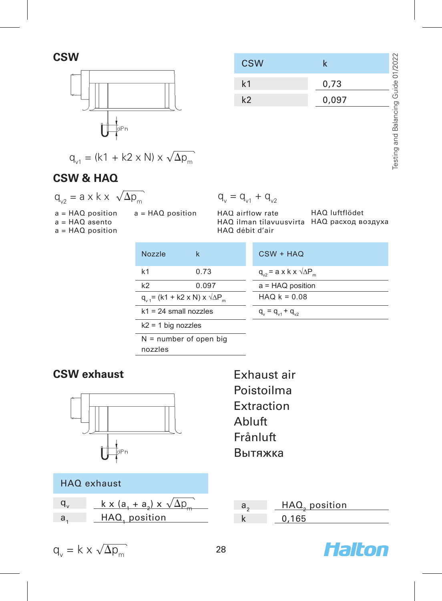

$$
q_{v1} = (k1 + k2 \times N) \times \sqrt{\Delta p_m}
$$

**CSW & HAQ**

$$
q_{v2} = a \times k \times \sqrt{\Delta p_m} \qquad \qquad q_v
$$

a = HAQ position  $a = HAO$  asento

 $a = HAQ$  position

 $q_v = q_{v1} + q_{v2}$ 

HAQ airflow rate HAQ ilman tilavuusvirta HAQ расход воздуха HAQ débit d'air a = HAQ position HAQ airflow rate HAQ luftflödet

| Nozzle                                                  | k     | $CSW + HAO$                                         |
|---------------------------------------------------------|-------|-----------------------------------------------------|
| k <sub>1</sub>                                          | 0.73  | $q_{\varphi}$ = a x k x $\sqrt{\Delta P_{\varphi}}$ |
| k <sub>2</sub>                                          | 0.097 | $a = HAQ$ position                                  |
| $q_{u} = (k1 + k2 \times N) \times \sqrt{\Delta P_{u}}$ |       | $HAO$ $k = 0.08$                                    |
| $k1 = 24$ small nozzles                                 |       | $q_{u} = q_{u} + q_{u2}$                            |
| $k2 = 1$ big nozzles                                    |       |                                                     |
| $N =$ number of open big<br>nozzles                     |       |                                                     |

# **CSW exhaust**



|  | HAQ exhaust |
|--|-------------|
|--|-------------|

| $k \times (a_1 + a_2) \times \sqrt{\Delta p_m}$ |
|-------------------------------------------------|
| HAQ, position                                   |

Exhaust air Poistoilma Extraction Abluft Frånluft Вытяжка

| HAQ, position |
|---------------|
|               |



| $\sim$<br>ΚÏ<br>- 1400 | /2022            |
|------------------------|------------------|
|                        | ਨੰ<br>0.73<br>Φ  |
| k2                     | 7)<br>0.097<br>O |

$$
\overline{2}
$$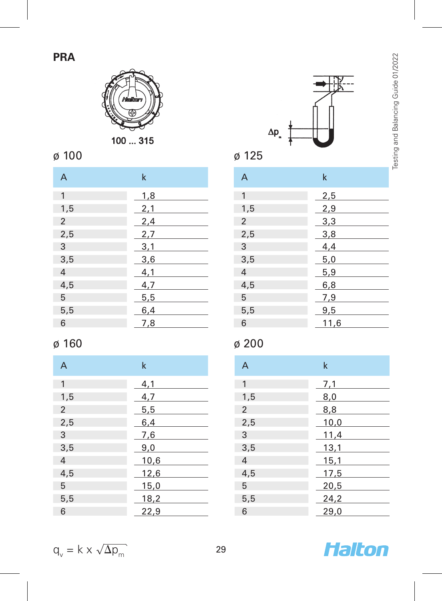# **PRA**



100 ... 315

# ø 100

| A              | $\mathsf k$ |
|----------------|-------------|
| 1              | 1,8         |
| 1,5            | 2,1         |
| 2              | 2,4         |
| 2,5            | 2,7         |
| 3              | 3,1         |
| 3,5            | 3,6         |
| $\overline{4}$ | 4,1         |
| 4,5            | 4,7         |
| 5              | 5,5         |
| 5,5            | 6,4         |
| 6              | 7,8         |

# ø 160

| A              | k    |
|----------------|------|
| 1              | 4,1  |
| 1,5            | 4,7  |
| $\overline{2}$ | 5,5  |
| 2,5            | 6,4  |
| 3              | 7,6  |
| 3,5            | 9,0  |
| $\overline{4}$ | 10,6 |
| 4,5            | 12,6 |
| 5              | 15,0 |
| 5,5            | 18,2 |
| 6              | 22,9 |



| A              | k    |
|----------------|------|
| 1              | 2,5  |
| 1,5            | 2,9  |
| $\overline{2}$ | 3,3  |
| 2,5            | 3,8  |
| 3              | 4,4  |
| 3,5            | 5,0  |
| $\overline{4}$ | 5,9  |
| 4,5            | 6,8  |
| 5              | 7,9  |
| 5,5            | 9,5  |
| 6              | 11,6 |

# ø 200

| $\overline{A}$ | $\mathsf k$ |
|----------------|-------------|
| 1              | 7,1         |
| 1,5            | 8,0         |
| 2              | 8,8         |
| 2,5            | 10,0        |
| 3              | 11,4        |
| 3,5            | 13,1        |
| $\overline{4}$ | 15,1        |
| 4,5            | 17,5        |
| 5              | 20,5        |
| 5,5            | 24,2        |
| 6              | 29,0        |

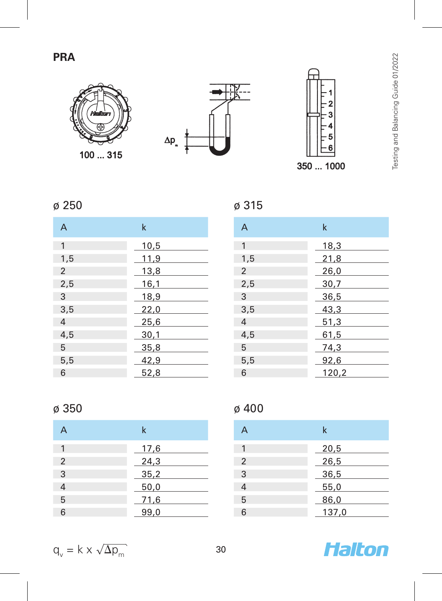# **PRA**



100 ... 315





# ø 250

| A              | $\mathsf k$ |
|----------------|-------------|
| 1              | 10,5        |
| 1,5            | 11,9        |
| 2              | 13,8        |
| 2,5            | 16,1        |
| 3              | 18,9        |
| 3,5            | 22,0        |
| $\overline{4}$ | 25,6        |
| 4,5            | 30,1        |
| 5              | 35,8        |
| 5,5            | 42,9        |
| 6              | 52,8        |

| A              | $\mathsf k$ |
|----------------|-------------|
| 1              | 18,3        |
| 1,5            | 21,8        |
| $\overline{2}$ | 26,0        |
| 2,5            | 30,7        |
| 3              | 36,5        |
| 3,5            | 43,3        |
| $\overline{4}$ | 51,3        |
| 4,5            | 61,5        |
| 5              | 74,3        |
| 5,5            | 92,6        |
| 6              | 120,2       |

### ø 350

|                | k    |
|----------------|------|
|                | 17,6 |
| 2              | 24,3 |
| 3              | 35,2 |
| $\overline{4}$ | 50,0 |
| 5              | 71,6 |
| 6              | 99,0 |

# ø 400

ø 315

| А              | k     |
|----------------|-------|
| 1              | 20,5  |
| $\overline{2}$ | 26,5  |
| 3              | 36,5  |
| 4              | 55,0  |
| 5              | 86,0  |
| ิค             | 137,0 |

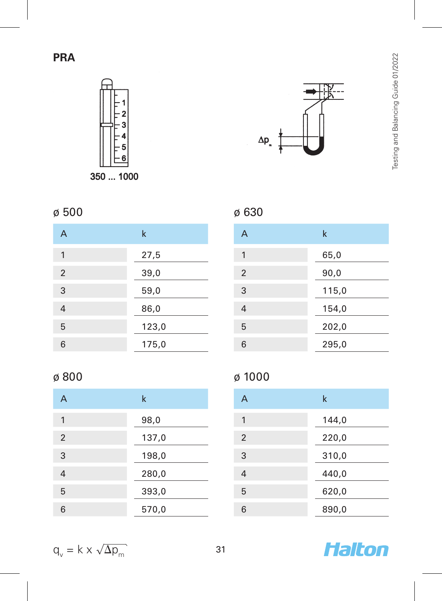



# ø 500

| A | k     |
|---|-------|
| 1 | 27,5  |
| 2 | 39,0  |
| 3 | 59,0  |
| 4 | 86,0  |
| 5 | 123,0 |
| 6 | 175,0 |

# ø 800

| А              | $\mathsf k$ |
|----------------|-------------|
| 1              | 98,0        |
| $\overline{2}$ | 137,0       |
| 3              | 198,0       |
| 4              | 280,0       |
| 5              | 393,0       |
| 6              | 570,0       |

# ø 630

| A | k     |
|---|-------|
| 1 | 65,0  |
| 2 | 90,0  |
| 3 | 115,0 |
| 4 | 154,0 |
| 5 | 202,0 |
| 6 | 295,0 |

# ø 1000

| A | k     |
|---|-------|
| 1 | 144,0 |
| 2 | 220,0 |
| 3 | 310,0 |
| 4 | 440,0 |
| 5 | 620,0 |
| 6 | 890,0 |



$$
q_v = k \times \sqrt{\Delta p_m}
$$
 31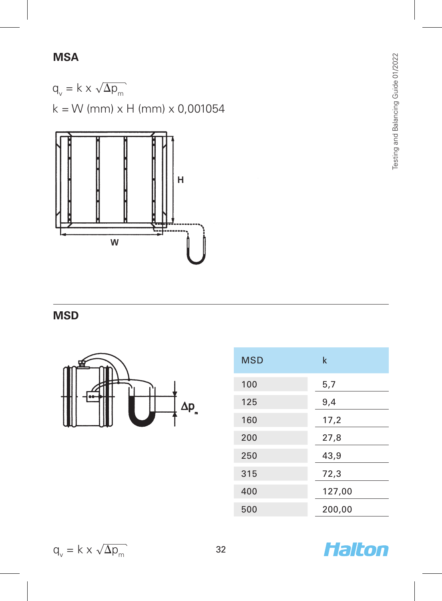# **MSA**

 $q_v = k \times \sqrt{\Delta p_m}$  $k = W$  (mm)  $\times$  H (mm)  $\times$  0,001054



**MSD**



| <b>MSD</b> | k      |
|------------|--------|
| 100        | 5,7    |
| 125        | 9,4    |
| 160        | 17,2   |
| 200        | 27,8   |
| 250        | 43,9   |
| 315        | 72,3   |
| 400        | 127,00 |
| 500        | 200,00 |

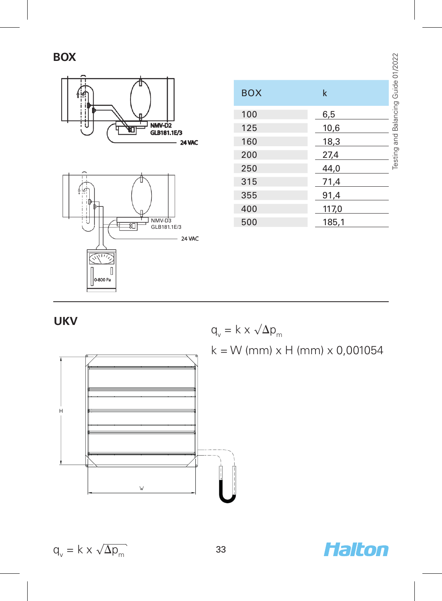**BOX**



|                       |            |             | Balancing Guide 01/2022 |
|-----------------------|------------|-------------|-------------------------|
|                       | <b>BOX</b> | $\mathsf k$ |                         |
|                       | 100        | 6,5         |                         |
| NMV-D2<br>GLB181.1E/3 | 125        | 10,6        |                         |
| 24 VAC                | 160        | 18,3        | Testing and             |
|                       | 200        | 27,4        |                         |
|                       | 250        | 44,0        |                         |
|                       | 315        | 71,4        |                         |
|                       | 355        | 91,4        |                         |
|                       | 400        | 117,0       |                         |
| NMV-D3<br>GLB181.1E/3 | 500        | 185,1       |                         |
|                       |            |             |                         |

# **UKV**



$$
q_v = k \times \sqrt{\Delta p_m}
$$
  
k = W (mm) x H (mm) x 0,001054



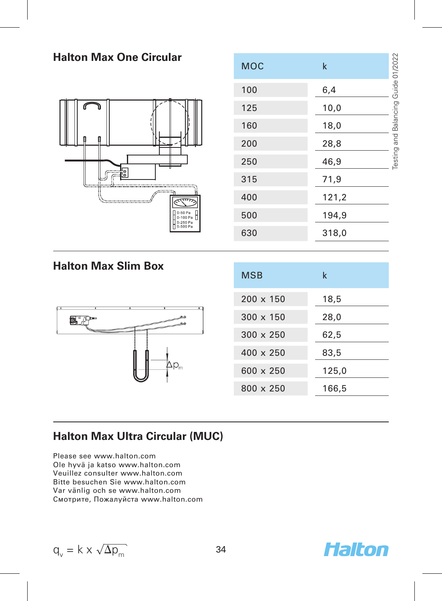#### **Halton Max One Circular** ting and Balancing Guide 01/2022 Testing and Balancing Guide 01/2022  $MOC$  k 100 6,4 125 10,0 160 18,0 200 28,8 250 46,9 ig<br>G 315 71,9 400 121,2 500 194,9 n-son Pa 630 318,0

**Halton Max Slim Box**



| <b>MSB</b>       | k     |
|------------------|-------|
| $200 \times 150$ | 18,5  |
| $300 \times 150$ | 28,0  |
| $300 \times 250$ | 62,5  |
| $400 \times 250$ | 83,5  |
| $600 \times 250$ | 125,0 |
| $800 \times 250$ | 166,5 |

### **Halton Max Ultra Circular (MUC)**

Please see www.halton.com Ole hyvä ja katso www.halton.com Veuillez consulter www.halton.com Bitte besuchen Sie www.halton.com Var vänlig och se www.halton.com Смотрите, Пожалуйста www.halton.com

$$
q_v = k \times \sqrt{\Delta p_m}
$$
 34

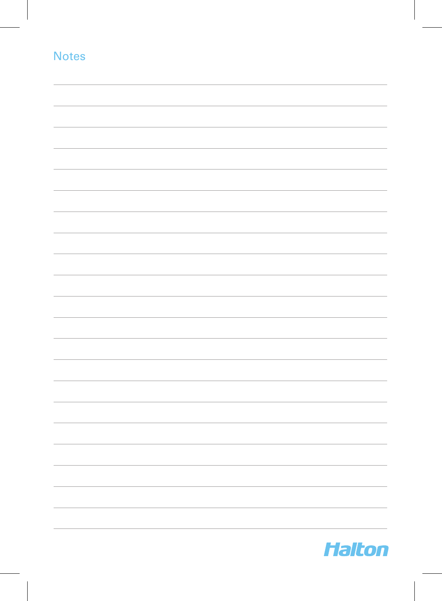| <b>Notes</b> |  |  |
|--------------|--|--|
|              |  |  |
|              |  |  |
|              |  |  |
|              |  |  |
|              |  |  |
|              |  |  |
|              |  |  |
|              |  |  |
|              |  |  |
|              |  |  |
|              |  |  |
|              |  |  |
|              |  |  |
|              |  |  |
|              |  |  |
|              |  |  |
|              |  |  |
|              |  |  |
|              |  |  |
|              |  |  |
|              |  |  |
|              |  |  |
|              |  |  |
|              |  |  |
|              |  |  |
|              |  |  |
|              |  |  |
|              |  |  |
|              |  |  |
|              |  |  |
|              |  |  |
|              |  |  |